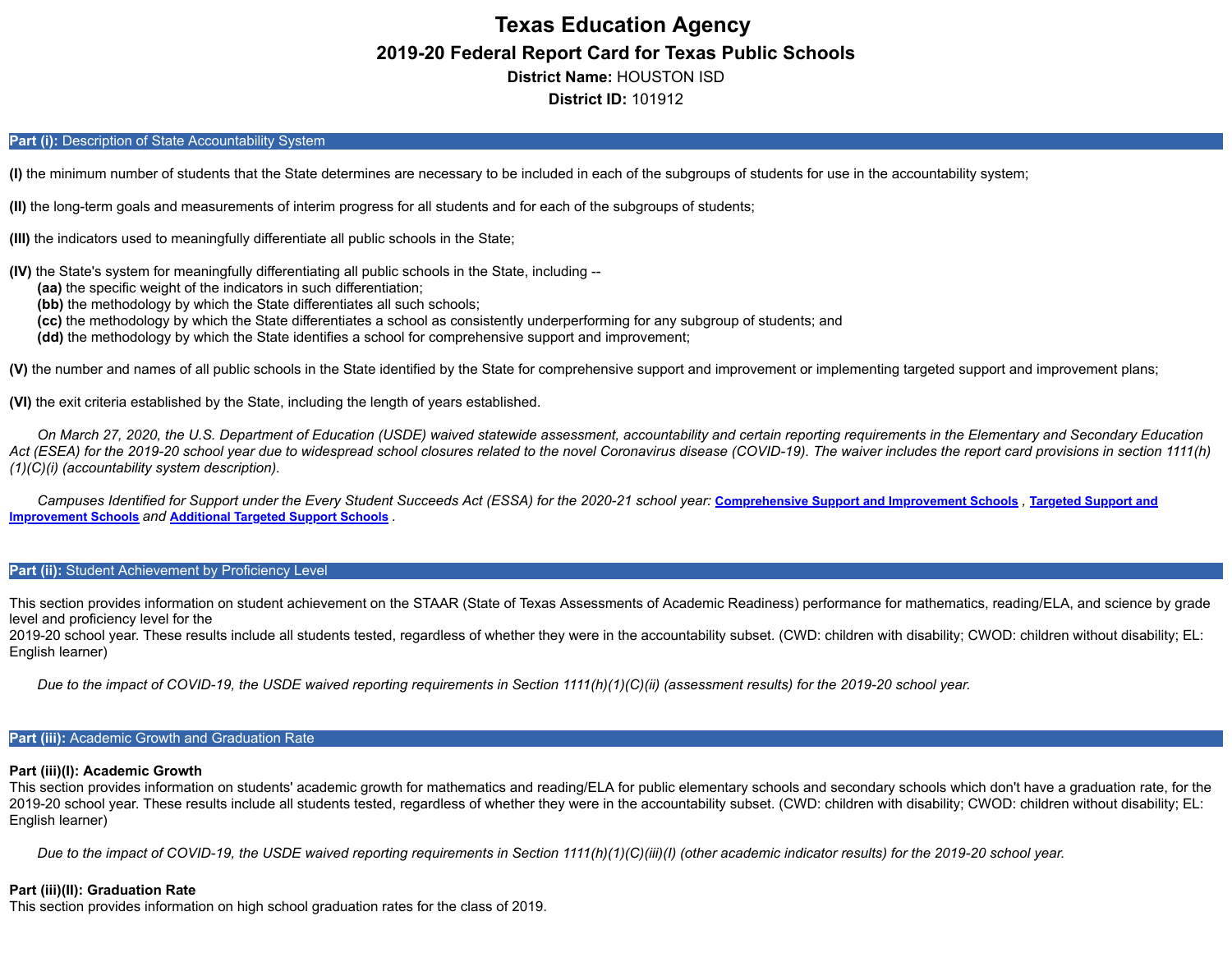# **Texas Education Agency 2019-20 Federal Report Card for Texas Public Schools District Name:** HOUSTON ISD **District ID:** 101912

## Part (i): Description of State Accountability System

**(I)** the minimum number of students that the State determines are necessary to be included in each of the subgroups of students for use in the accountability system;

**(II)** the long-term goals and measurements of interim progress for all students and for each of the subgroups of students;

**(III)** the indicators used to meaningfully differentiate all public schools in the State;

**(IV)** the State's system for meaningfully differentiating all public schools in the State, including --

- **(aa)** the specific weight of the indicators in such differentiation;
- **(bb)** the methodology by which the State differentiates all such schools;
- **(cc)** the methodology by which the State differentiates a school as consistently underperforming for any subgroup of students; and
- **(dd)** the methodology by which the State identifies a school for comprehensive support and improvement;

**(V)** the number and names of all public schools in the State identified by the State for comprehensive support and improvement or implementing targeted support and improvement plans;

**(VI)** the exit criteria established by the State, including the length of years established.

*On March 27, 2020, the U.S. Department of Education (USDE) waived statewide assessment, accountability and certain reporting requirements in the Elementary and Secondary Education Act (ESEA) for the 2019-20 school year due to widespread school closures related to the novel Coronavirus disease (COVID-19). The waiver includes the report card provisions in section 1111(h) (1)(C)(i) (accountability system description).*

[Campuses Identified for Support under the Every Student Succeeds Act \(ESSA\) for the 2020-21 school year:](https://tea.texas.gov/sites/default/files/targeted_support_2020.xlsx) [Comprehensive](https://tea.texas.gov/sites/default/files/comprehensive_support_2020.xlsx) Support and Improvement Schools, Targeted Support and **Improvement Schools** *and* **[Additional](https://tea.texas.gov/sites/default/files/additional_targeted_support_2020.xlsx) Targeted Support Schools** *.*

# Part (ii): Student Achievement by Proficiency Level

This section provides information on student achievement on the STAAR (State of Texas Assessments of Academic Readiness) performance for mathematics, reading/ELA, and science by grade level and proficiency level for the

2019-20 school year. These results include all students tested, regardless of whether they were in the accountability subset. (CWD: children with disability; CWOD: children without disability; EL: English learner)

*Due to the impact of COVID-19, the USDE waived reporting requirements in Section 1111(h)(1)(C)(ii) (assessment results) for the 2019-20 school year.*

# **Part (iii):** Academic Growth and Graduation Rate

#### **Part (iii)(I): Academic Growth**

This section provides information on students' academic growth for mathematics and reading/ELA for public elementary schools and secondary schools which don't have a graduation rate, for the 2019-20 school year. These results include all students tested, regardless of whether they were in the accountability subset. (CWD: children with disability; CWOD: children without disability; EL: English learner)

*Due to the impact of COVID-19, the USDE waived reporting requirements in Section 1111(h)(1)(C)(iii)(I) (other academic indicator results) for the 2019-20 school year.*

#### **Part (iii)(II): Graduation Rate**

This section provides information on high school graduation rates for the class of 2019.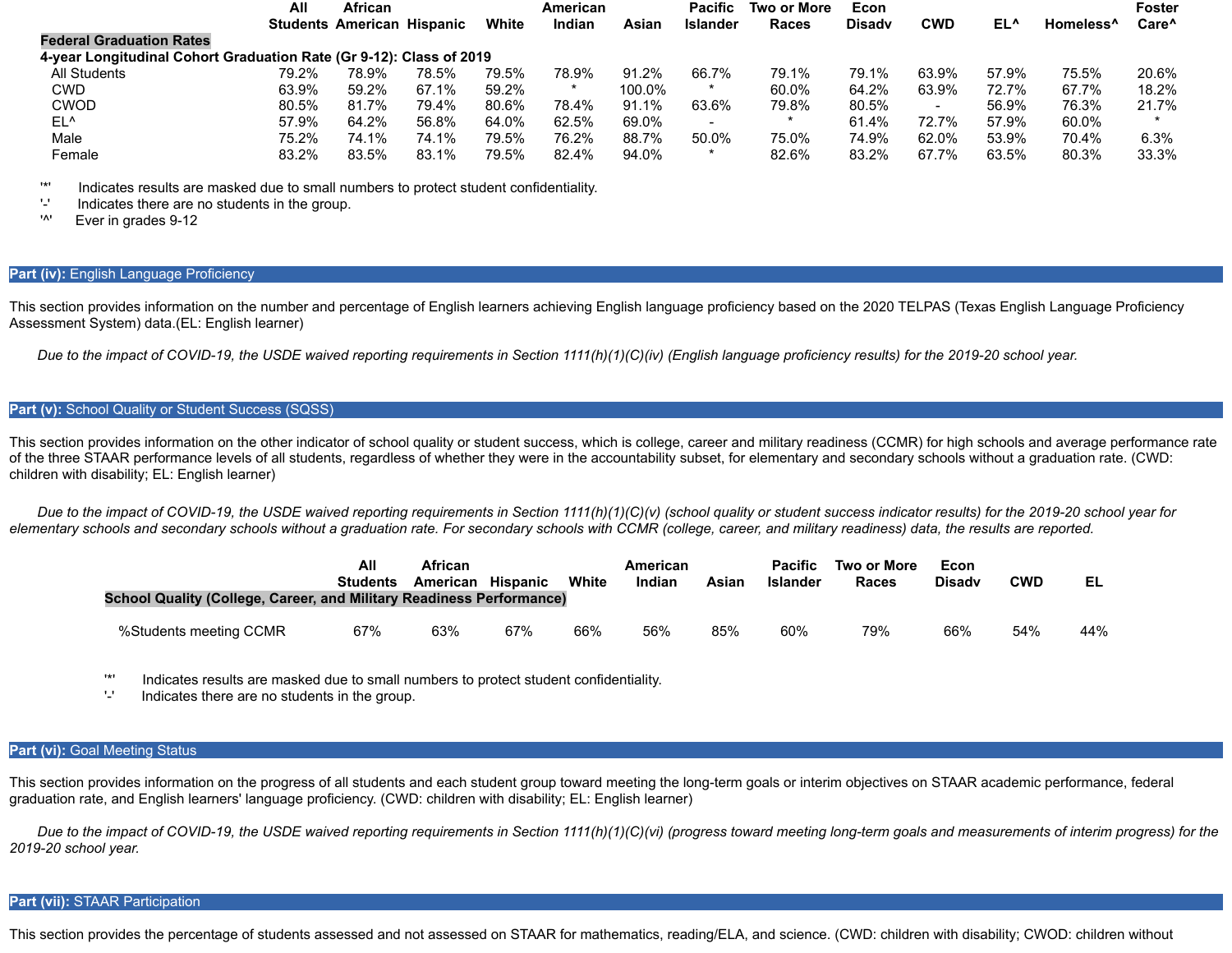|                                                                     | All   | <b>African</b>                    |       |       | American |        | <b>Pacific</b>           | <b>Two or More</b> | Econ          |            |                 |                       | <b>Foster</b>     |
|---------------------------------------------------------------------|-------|-----------------------------------|-------|-------|----------|--------|--------------------------|--------------------|---------------|------------|-----------------|-----------------------|-------------------|
|                                                                     |       | <b>Students American Hispanic</b> |       | White | Indian   | Asian  | <b>Islander</b>          | Races              | <b>Disady</b> | <b>CWD</b> | EL <sup>^</sup> | Homeless <sup>^</sup> | Care <sup>^</sup> |
| <b>Federal Graduation Rates</b>                                     |       |                                   |       |       |          |        |                          |                    |               |            |                 |                       |                   |
| 4-year Longitudinal Cohort Graduation Rate (Gr 9-12): Class of 2019 |       |                                   |       |       |          |        |                          |                    |               |            |                 |                       |                   |
| <b>All Students</b>                                                 | 79.2% | 78.9%                             | 78.5% | 79.5% | 78.9%    | 91.2%  | 66.7%                    | 79.1%              | 79.1%         | 63.9%      | 57.9%           | 75.5%                 | 20.6%             |
| CWD                                                                 | 63.9% | 59.2%                             | 67.1% | 59.2% |          | 100.0% | $\star$                  | 60.0%              | 64.2%         | 63.9%      | 72.7%           | 67.7%                 | 18.2%             |
| <b>CWOD</b>                                                         | 80.5% | 81.7%                             | 79.4% | 80.6% | 78.4%    | 91.1%  | 63.6%                    | 79.8%              | 80.5%         |            | 56.9%           | 76.3%                 | 21.7%             |
| EL <sup>^</sup>                                                     | 57.9% | 64.2%                             | 56.8% | 64.0% | 62.5%    | 69.0%  | $\overline{\phantom{0}}$ |                    | 61.4%         | 72.7%      | 57.9%           | 60.0%                 | $\star$           |
| Male                                                                | 75.2% | 74.1%                             | 74.1% | 79.5% | 76.2%    | 88.7%  | 50.0%                    | 75.0%              | 74.9%         | 62.0%      | 53.9%           | 70.4%                 | 6.3%              |
| Female                                                              | 83.2% | 83.5%                             | 83.1% | 79.5% | 82.4%    | 94.0%  |                          | 82.6%              | 83.2%         | 67.7%      | 63.5%           | 80.3%                 | 33.3%             |

'\*' Indicates results are masked due to small numbers to protect student confidentiality.

 $'$ -' Indicates there are no students in the group.<br> $'$ <sup>1</sup>

Ever in grades 9-12

#### **Part (iv):** English Language Proficiency

This section provides information on the number and percentage of English learners achieving English language proficiency based on the 2020 TELPAS (Texas English Language Proficiency Assessment System) data.(EL: English learner)

*Due to the impact of COVID-19, the USDE waived reporting requirements in Section 1111(h)(1)(C)(iv) (English language proficiency results) for the 2019-20 school year.*

#### Part (v): School Quality or Student Success (SQSS)

This section provides information on the other indicator of school quality or student success, which is college, career and military readiness (CCMR) for high schools and average performance rate of the three STAAR performance levels of all students, regardless of whether they were in the accountability subset, for elementary and secondary schools without a graduation rate. (CWD: children with disability; EL: English learner)

*Due to the impact of COVID-19, the USDE waived reporting requirements in Section 1111(h)(1)(C)(v) (school quality or student success indicator results) for the 2019-20 school year for elementary schools and secondary schools without a graduation rate. For secondary schools with CCMR (college, career, and military readiness) data, the results are reported.*

| <b>School Quality (College, Career, and Military Readiness Performance)</b> | All<br><b>Students</b> | African<br>American Hispanic |     | White | American<br>Indian | Asian | <b>Pacific</b><br><b>Islander</b> | Two or More<br>Races | Econ<br><b>Disady</b> | <b>CWD</b> | EL  |
|-----------------------------------------------------------------------------|------------------------|------------------------------|-----|-------|--------------------|-------|-----------------------------------|----------------------|-----------------------|------------|-----|
| %Students meeting CCMR                                                      | 67%                    | 63%                          | 67% | 66%   | 56%                | 85%   | 60%                               | 79%                  | 66%                   | 54%        | 44% |

'\*' Indicates results are masked due to small numbers to protect student confidentiality.

Indicates there are no students in the group.

#### **Part (vi):** Goal Meeting Status

This section provides information on the progress of all students and each student group toward meeting the long-term goals or interim objectives on STAAR academic performance, federal graduation rate, and English learners' language proficiency. (CWD: children with disability; EL: English learner)

*Due to the impact of COVID-19, the USDE waived reporting requirements in Section 1111(h)(1)(C)(vi) (progress toward meeting long-term goals and measurements of interim progress) for the 2019-20 school year.*

#### **Part (vii):** STAAR Participation

This section provides the percentage of students assessed and not assessed on STAAR for mathematics, reading/ELA, and science. (CWD: children with disability; CWOD: children without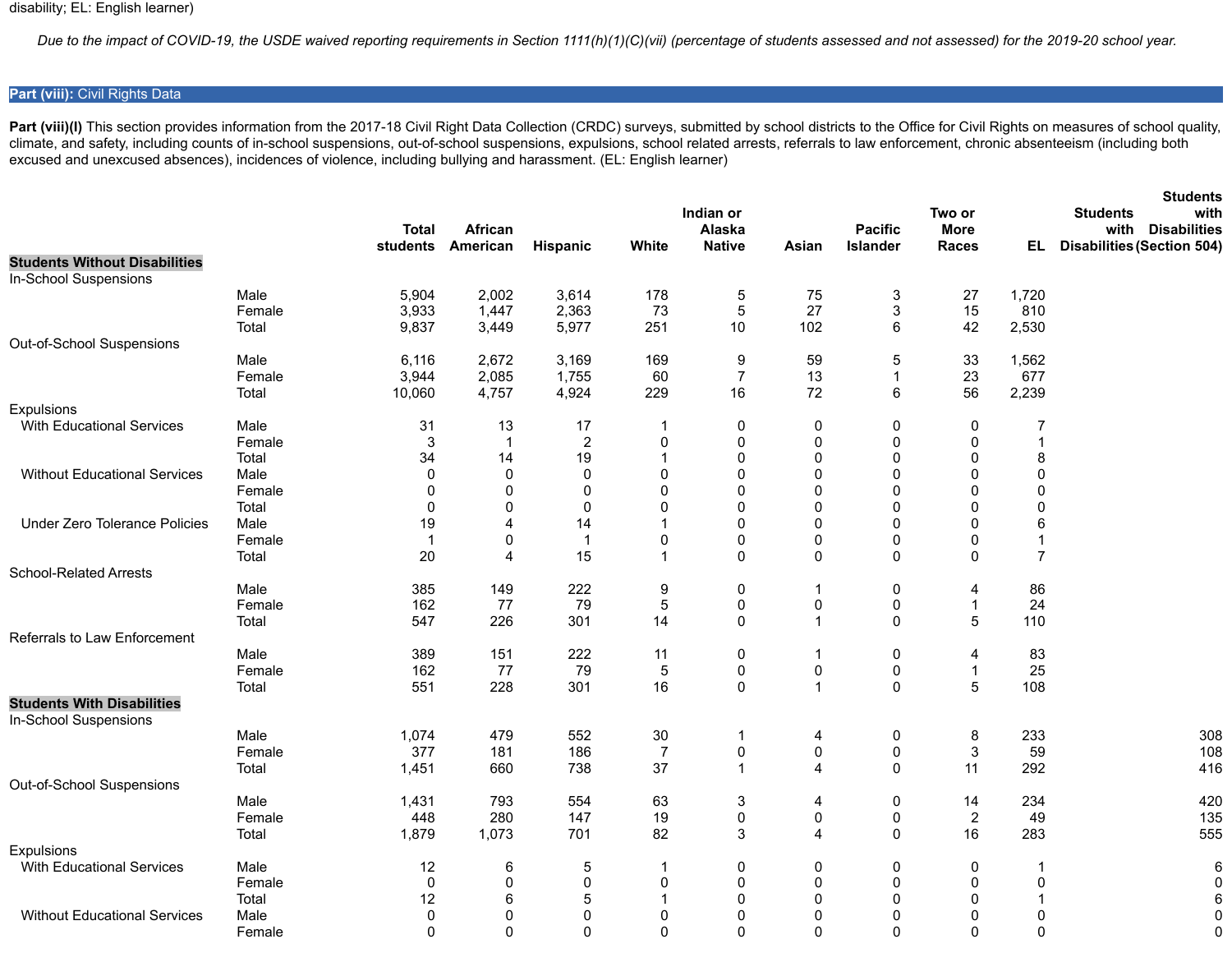*Due to the impact of COVID-19, the USDE waived reporting requirements in Section 1111(h)(1)(C)(vii) (percentage of students assessed and not assessed) for the 2019-20 school year.*

# **Part (viii):** Civil Rights Data

Part (viii)(I) This section provides information from the 2017-18 Civil Right Data Collection (CRDC) surveys, submitted by school districts to the Office for Civil Rights on measures of school quality, climate, and safety, including counts of in-school suspensions, out-of-school suspensions, expulsions, school related arrests, referrals to law enforcement, chronic absenteeism (including both excused and unexcused absences), incidences of violence, including bullying and harassment. (EL: English learner)

|                                                               |        |                |                   |                 |                |                |                         |                 |                |                | <b>Students</b>                   |
|---------------------------------------------------------------|--------|----------------|-------------------|-----------------|----------------|----------------|-------------------------|-----------------|----------------|----------------|-----------------------------------|
|                                                               |        |                |                   |                 |                | Indian or      |                         |                 | Two or         |                | <b>Students</b><br>with           |
|                                                               |        | <b>Total</b>   | African           |                 |                | Alaska         |                         | <b>Pacific</b>  | <b>More</b>    |                | with<br><b>Disabilities</b>       |
|                                                               |        |                | students American | <b>Hispanic</b> | White          | <b>Native</b>  | Asian                   | <b>Islander</b> | Races          | EL.            | <b>Disabilities (Section 504)</b> |
| <b>Students Without Disabilities</b><br>In-School Suspensions |        |                |                   |                 |                |                |                         |                 |                |                |                                   |
|                                                               | Male   | 5,904          | 2,002             | 3,614           | 178            | 5              | 75                      | 3               | 27             | 1,720          |                                   |
|                                                               | Female | 3,933          | 1,447             | 2,363           | 73             | 5              | 27                      | 3               | 15             | 810            |                                   |
|                                                               | Total  | 9,837          | 3,449             | 5,977           | 251            | $10$           | 102                     | 6               | 42             | 2,530          |                                   |
| Out-of-School Suspensions                                     |        |                |                   |                 |                |                |                         |                 |                |                |                                   |
|                                                               | Male   | 6,116          | 2,672             | 3,169           | 169            | 9              | 59                      | 5               | 33             | 1,562          |                                   |
|                                                               | Female | 3,944          | 2,085             | 1,755           | 60             | $\overline{7}$ | 13                      | 1               | 23             | 677            |                                   |
|                                                               | Total  | 10,060         | 4,757             | 4,924           | 229            | 16             | 72                      | 6               | 56             | 2,239          |                                   |
| Expulsions                                                    |        |                |                   |                 |                |                |                         |                 |                |                |                                   |
| <b>With Educational Services</b>                              | Male   | 31             | 13                | 17              | $\mathbf 1$    | 0              | 0                       | 0               | 0              | 7              |                                   |
|                                                               | Female | 3              | $\mathbf{1}$      | $\overline{2}$  | 0              | 0              | 0                       | 0               | 0              |                |                                   |
|                                                               | Total  | 34             | 14                | 19              | $\mathbf 1$    | $\pmb{0}$      | $\mathbf 0$             | 0               | 0              | 8              |                                   |
| <b>Without Educational Services</b>                           | Male   | $\mathbf 0$    | 0                 | $\Omega$        | 0              | 0              | $\mathbf 0$             | 0               | 0              | $\Omega$       |                                   |
|                                                               | Female | 0              | 0                 | 0               | 0              | $\pmb{0}$      | 0                       | $\pmb{0}$       | 0              | 0              |                                   |
|                                                               | Total  | 0              | 0                 | $\Omega$        | 0              | 0              | $\mathbf{0}$            | 0               | 0              |                |                                   |
| <b>Under Zero Tolerance Policies</b>                          | Male   | 19             | 4                 | 14              | 1              | 0              | $\Omega$                | 0               | $\mathbf{0}$   | 6              |                                   |
|                                                               | Female | $\overline{1}$ | 0                 | $\overline{1}$  | 0              | 0              | 0                       | 0               | 0              |                |                                   |
|                                                               | Total  | 20             | 4                 | 15              | 1              | $\Omega$       | $\Omega$                | 0               | $\Omega$       | $\overline{7}$ |                                   |
| <b>School-Related Arrests</b>                                 |        |                |                   |                 |                |                |                         |                 |                |                |                                   |
|                                                               | Male   | 385            | 149               | 222             | 9              | 0              | -1                      | 0               | 4              | 86             |                                   |
|                                                               | Female | 162            | 77                | 79              | $\mathbf 5$    | 0              | 0                       | 0               | 1              | 24             |                                   |
|                                                               | Total  | 547            | 226               | 301             | 14             | 0              | $\overline{\mathbf{1}}$ | 0               | 5              | 110            |                                   |
| Referrals to Law Enforcement                                  |        |                |                   |                 |                |                |                         |                 |                |                |                                   |
|                                                               | Male   | 389            | 151               | 222             | 11             | 0              | -1                      | 0               | 4              | 83             |                                   |
|                                                               | Female | 162            | 77                | 79              | 5              | 0              | $\pmb{0}$               | 0               | $\overline{1}$ | 25             |                                   |
|                                                               | Total  | 551            | 228               | 301             | 16             | 0              | $\overline{1}$          | 0               | 5              | 108            |                                   |
| <b>Students With Disabilities</b><br>In-School Suspensions    |        |                |                   |                 |                |                |                         |                 |                |                |                                   |
|                                                               | Male   | 1,074          | 479               | 552             | 30             | 1              | 4                       | 0               | 8              | 233            | 308                               |
|                                                               | Female | 377            | 181               | 186             | $\overline{7}$ | 0              | 0                       | 0               | 3              | 59             | 108                               |
|                                                               | Total  | 1,451          | 660               | 738             | 37             | 1              | 4                       | 0               | 11             | 292            | 416                               |
| Out-of-School Suspensions                                     |        |                |                   |                 |                |                |                         |                 |                |                |                                   |
|                                                               | Male   | 1,431          | 793               | 554             | 63             | 3              | 4                       | 0               | 14             | 234            | 420                               |
|                                                               | Female | 448            | 280               | 147             | 19             | 0              | 0                       | 0               | $\overline{c}$ | 49             | 135                               |
|                                                               | Total  | 1,879          | 1,073             | 701             | 82             | 3              | 4                       | 0               | 16             | 283            | 555                               |
| <b>Expulsions</b>                                             |        |                |                   |                 |                |                |                         |                 |                |                |                                   |
| <b>With Educational Services</b>                              | Male   | 12             | 6                 | 5               | 1              | 0              | 0                       | 0               | 0              |                | 6                                 |
|                                                               | Female | 0              | 0                 | $\mathbf 0$     | 0              | 0              | 0                       | 0               | 0              | 0              | $\mathbf 0$                       |
|                                                               | Total  | 12             | 6                 | 5               | 1              | 0              | 0                       | 0               | 0              |                | 6                                 |
| <b>Without Educational Services</b>                           | Male   | 0              | 0                 | $\mathbf 0$     | 0              | 0              | 0                       | 0               | 0              | 0              | $\mathbf 0$                       |
|                                                               | Female | $\mathbf 0$    | 0                 | $\mathbf 0$     | $\mathbf 0$    | 0              | $\mathbf 0$             | 0               | $\mathbf 0$    | $\mathbf 0$    | $\mathbf 0$                       |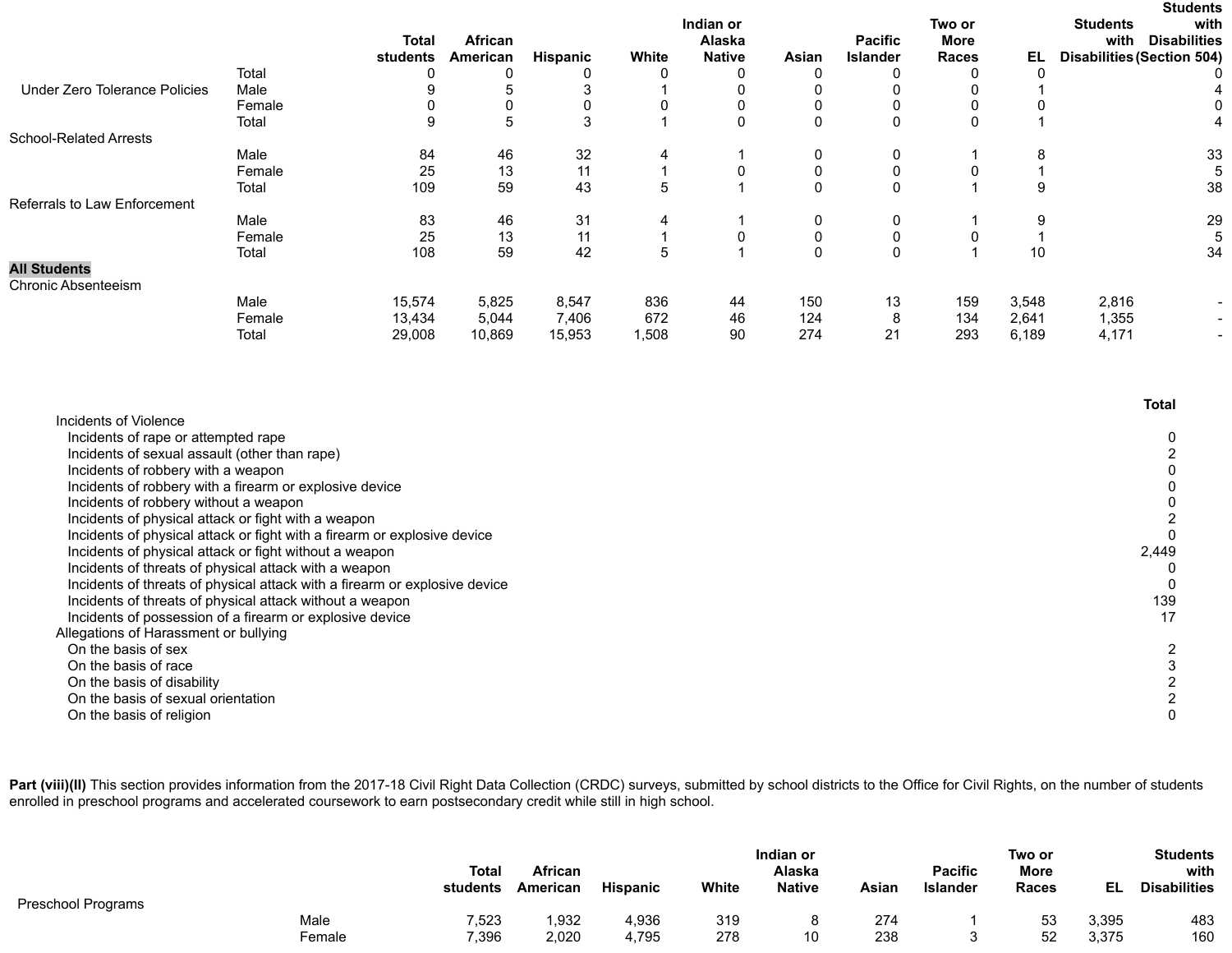|                                      |        |              |          |          |             |               |              |                 |              |       | <b>Students</b>                   |                |
|--------------------------------------|--------|--------------|----------|----------|-------------|---------------|--------------|-----------------|--------------|-------|-----------------------------------|----------------|
|                                      |        |              |          |          |             | Indian or     |              |                 | Two or       |       | <b>Students</b>                   | with           |
|                                      |        | <b>Total</b> | African  |          |             | Alaska        |              | <b>Pacific</b>  | <b>More</b>  |       | with<br><b>Disabilities</b>       |                |
|                                      |        | students     | American | Hispanic | White       | <b>Native</b> | Asian        | <b>Islander</b> | <b>Races</b> | EL    | <b>Disabilities (Section 504)</b> |                |
|                                      | Total  | 0            | 0        |          | 0           | 0             | 0            | 0               |              | 0     |                                   |                |
| <b>Under Zero Tolerance Policies</b> | Male   |              | 5        |          |             |               | 0            |                 |              |       |                                   |                |
|                                      | Female |              | 0        |          |             |               | 0            |                 |              |       |                                   |                |
|                                      | Total  | 9            | 5        | 3        |             | 0             | 0            | $\mathbf 0$     |              |       |                                   |                |
| <b>School-Related Arrests</b>        |        |              |          |          |             |               |              |                 |              |       |                                   |                |
|                                      | Male   | 84           | 46       | 32       | 4           |               | 0            | 0               |              | 8     |                                   | 33             |
|                                      | Female | 25           | 13       | 11       |             | $\Omega$      | 0            |                 |              |       |                                   |                |
|                                      | Total  | 109          | 59       | 43       | $\mathbf b$ |               | $\mathbf{0}$ | $\Omega$        |              | 9     |                                   | 38             |
| Referrals to Law Enforcement         |        |              |          |          |             |               |              |                 |              |       |                                   |                |
|                                      | Male   | 83           | 46       | 31       | 4           |               | 0            | 0               |              | 9     |                                   | 29             |
|                                      | Female | 25           | 13       | 11       |             | 0             | 0            | 0               |              |       |                                   |                |
|                                      | Total  | 108          | 59       | 42       | 5           |               | $\mathbf{0}$ | $\mathbf 0$     |              | 10    |                                   | 34             |
| <b>All Students</b>                  |        |              |          |          |             |               |              |                 |              |       |                                   |                |
| <b>Chronic Absenteeism</b>           |        |              |          |          |             |               |              |                 |              |       |                                   |                |
|                                      | Male   | 15,574       | 5,825    | 8,547    | 836         | 44            | 150          | 13              | 159          | 3,548 | 2,816                             |                |
|                                      | Female | 13,434       | 5,044    | 7,406    | 672         | 46            | 124          | 8               | 134          | 2,641 | 1,355                             |                |
|                                      | Total  | 29,008       | 10,869   | 15,953   | 1,508       | 90            | 274          | 21              | 293          | 6,189 | 4,171                             | $\blacksquare$ |

|                                                                            | <b>Total</b> |
|----------------------------------------------------------------------------|--------------|
| Incidents of Violence                                                      |              |
| Incidents of rape or attempted rape                                        |              |
| Incidents of sexual assault (other than rape)                              |              |
| Incidents of robbery with a weapon                                         |              |
| Incidents of robbery with a firearm or explosive device                    |              |
| Incidents of robbery without a weapon                                      |              |
| Incidents of physical attack or fight with a weapon                        |              |
| Incidents of physical attack or fight with a firearm or explosive device   |              |
| Incidents of physical attack or fight without a weapon                     | 2,449        |
| Incidents of threats of physical attack with a weapon                      |              |
| Incidents of threats of physical attack with a firearm or explosive device |              |
| Incidents of threats of physical attack without a weapon                   | 139          |
| Incidents of possession of a firearm or explosive device                   |              |
| Allegations of Harassment or bullying                                      |              |
| On the basis of sex                                                        |              |
| On the basis of race                                                       |              |
| On the basis of disability                                                 |              |
| On the basis of sexual orientation                                         |              |
| On the basis of religion                                                   |              |
|                                                                            |              |

Part (viii)(II) This section provides information from the 2017-18 Civil Right Data Collection (CRDC) surveys, submitted by school districts to the Office for Civil Rights, on the number of students enrolled in preschool programs and accelerated coursework to earn postsecondary credit while still in high school.

| Preschool Programs |        | <b>Total</b><br>students | African<br>American | <b>Hispanic</b> | White | Indian or<br>Alaska<br><b>Native</b> | Asian | <b>Pacific</b><br>Islander | Two or<br><b>More</b><br>Races | EL    | <b>Students</b><br>with<br><b>Disabilities</b> |
|--------------------|--------|--------------------------|---------------------|-----------------|-------|--------------------------------------|-------|----------------------------|--------------------------------|-------|------------------------------------------------|
|                    | Male   | 7,523                    | ,932                | 4,936           | 319   |                                      | 274   |                            | 53                             | 3,395 | 483                                            |
|                    | Female | 7,396                    | 2,020               | 4,795           | 278   | 10                                   | 238   |                            | 52                             | 3,375 | 160                                            |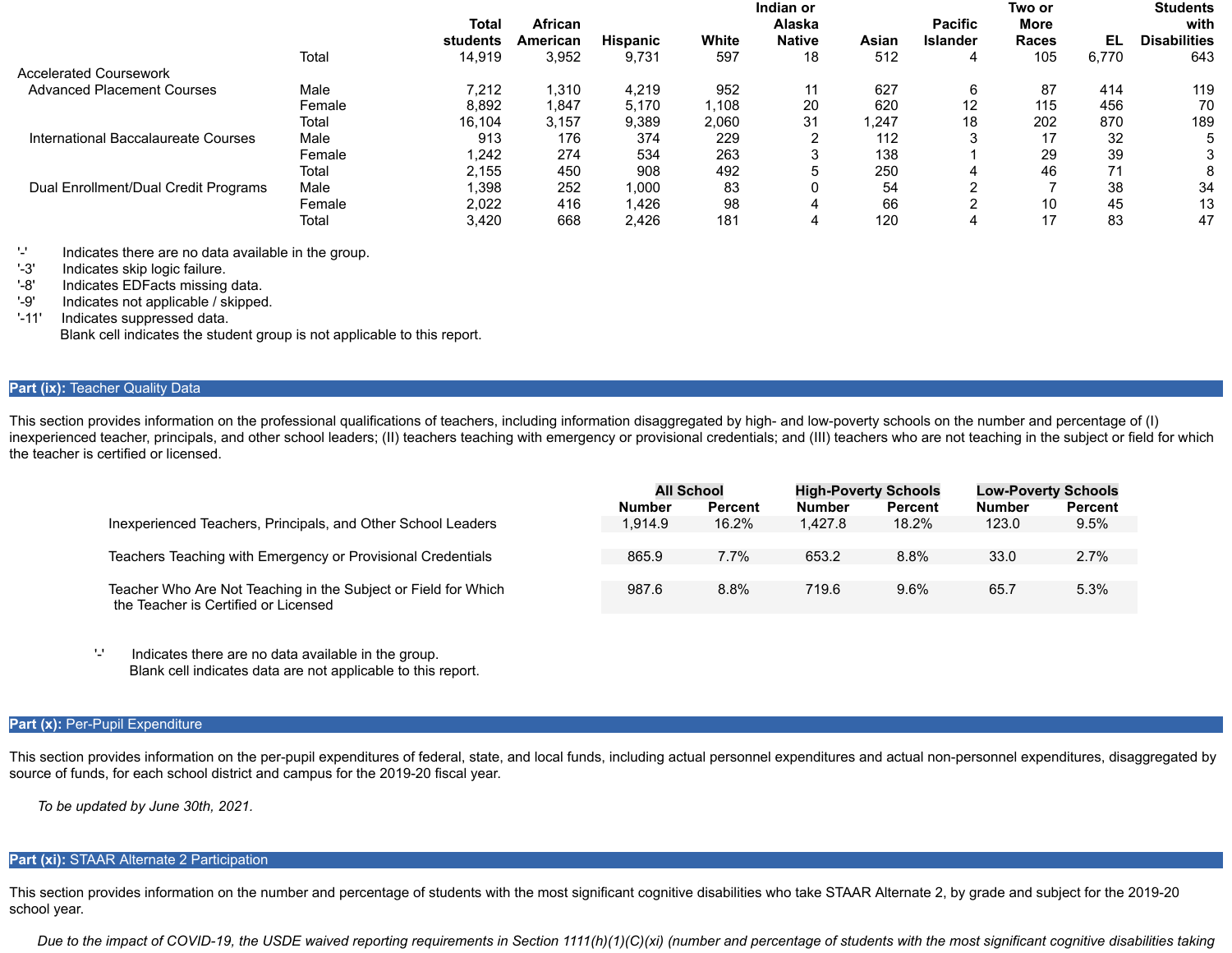|                                      |        |          |                |                 |       | Indian or     |       |                 | Two or       |       | <b>Students</b>     |
|--------------------------------------|--------|----------|----------------|-----------------|-------|---------------|-------|-----------------|--------------|-------|---------------------|
|                                      |        | Total    | <b>African</b> |                 |       | Alaska        |       | <b>Pacific</b>  | More         |       | with                |
|                                      |        | students | American       | <b>Hispanic</b> | White | <b>Native</b> | Asian | <b>Islander</b> | <b>Races</b> | EL    | <b>Disabilities</b> |
|                                      | Total  | 14,919   | 3,952          | 9.731           | 597   | 18            | 512   |                 | 105          | 6,770 | 643                 |
| <b>Accelerated Coursework</b>        |        |          |                |                 |       |               |       |                 |              |       |                     |
| <b>Advanced Placement Courses</b>    | Male   | 7.212    | 1,310          | 4,219           | 952   | 11            | 627   | 6               | 87           | 414   | 119                 |
|                                      | Female | 8,892    | 847,،          | 5.170           | 1.108 | 20            | 620   | 12              | 115          | 456   | 70                  |
|                                      | Total  | 16.104   | 3,157          | 9.389           | 2,060 | 31            | 1.247 | 18              | 202          | 870   | 189                 |
| International Baccalaureate Courses  | Male   | 913      | 176            | 374             | 229   |               | 112   |                 | 17           | 32    | 5                   |
|                                      | Female | 1.242    | 274            | 534             | 263   |               | 138   |                 | 29           | 39    | 3                   |
|                                      | Total  | 2.155    | 450            | 908             | 492   |               | 250   |                 | 46           | 71    | 8                   |
| Dual Enrollment/Dual Credit Programs | Male   | 1,398    | 252            | 1.000           | 83    |               | 54    |                 |              | 38    | 34                  |
|                                      | Female | 2.022    | 416            | .426            | 98    |               | 66    |                 | 10           | 45    | 13                  |
|                                      | Total  | 3,420    | 668            | 2.426           | 181   | 4             | 120   |                 | 17           | 83    | 47                  |

'-' Indicates there are no data available in the group.

'-3' Indicates skip logic failure.

'-8' Indicates EDFacts missing data.

'-9' Indicates not applicable / skipped.

'-11' Indicates suppressed data.

Blank cell indicates the student group is not applicable to this report.

# **Part (ix): Teacher Quality Data**

This section provides information on the professional qualifications of teachers, including information disaggregated by high- and low-poverty schools on the number and percentage of (I) inexperienced teacher, principals, and other school leaders; (II) teachers teaching with emergency or provisional credentials; and (III) teachers who are not teaching in the subject or field for which the teacher is certified or licensed.

|                                                                                                        | <b>All School</b> |         |               | <b>High-Poverty Schools</b> |               | <b>Low-Poverty Schools</b> |
|--------------------------------------------------------------------------------------------------------|-------------------|---------|---------------|-----------------------------|---------------|----------------------------|
|                                                                                                        | <b>Number</b>     | Percent | <b>Number</b> | <b>Percent</b>              | <b>Number</b> | <b>Percent</b>             |
| Inexperienced Teachers, Principals, and Other School Leaders                                           | 1.914.9           | 16.2%   | 1.427.8       | 18.2%                       | 123.0         | 9.5%                       |
|                                                                                                        |                   |         |               |                             |               |                            |
| Teachers Teaching with Emergency or Provisional Credentials                                            | 865.9             | $7.7\%$ | 653.2         | 8.8%                        | 33.0          | 2.7%                       |
|                                                                                                        |                   |         |               |                             |               |                            |
| Teacher Who Are Not Teaching in the Subject or Field for Which<br>the Teacher is Certified or Licensed | 987.6             | 8.8%    | 719.6         | 9.6%                        | 65.7          | 5.3%                       |

'-' Indicates there are no data available in the group. Blank cell indicates data are not applicable to this report.

## Part (x): Per-Pupil Expenditure

This section provides information on the per-pupil expenditures of federal, state, and local funds, including actual personnel expenditures and actual non-personnel expenditures, disaggregated by source of funds, for each school district and campus for the 2019-20 fiscal year.

*To be updated by June 30th, 2021.*

# **Part (xi):** STAAR Alternate 2 Participation

This section provides information on the number and percentage of students with the most significant cognitive disabilities who take STAAR Alternate 2, by grade and subject for the 2019-20 school year.

*Due to the impact of COVID-19, the USDE waived reporting requirements in Section 1111(h)(1)(C)(xi) (number and percentage of students with the most significant cognitive disabilities taking*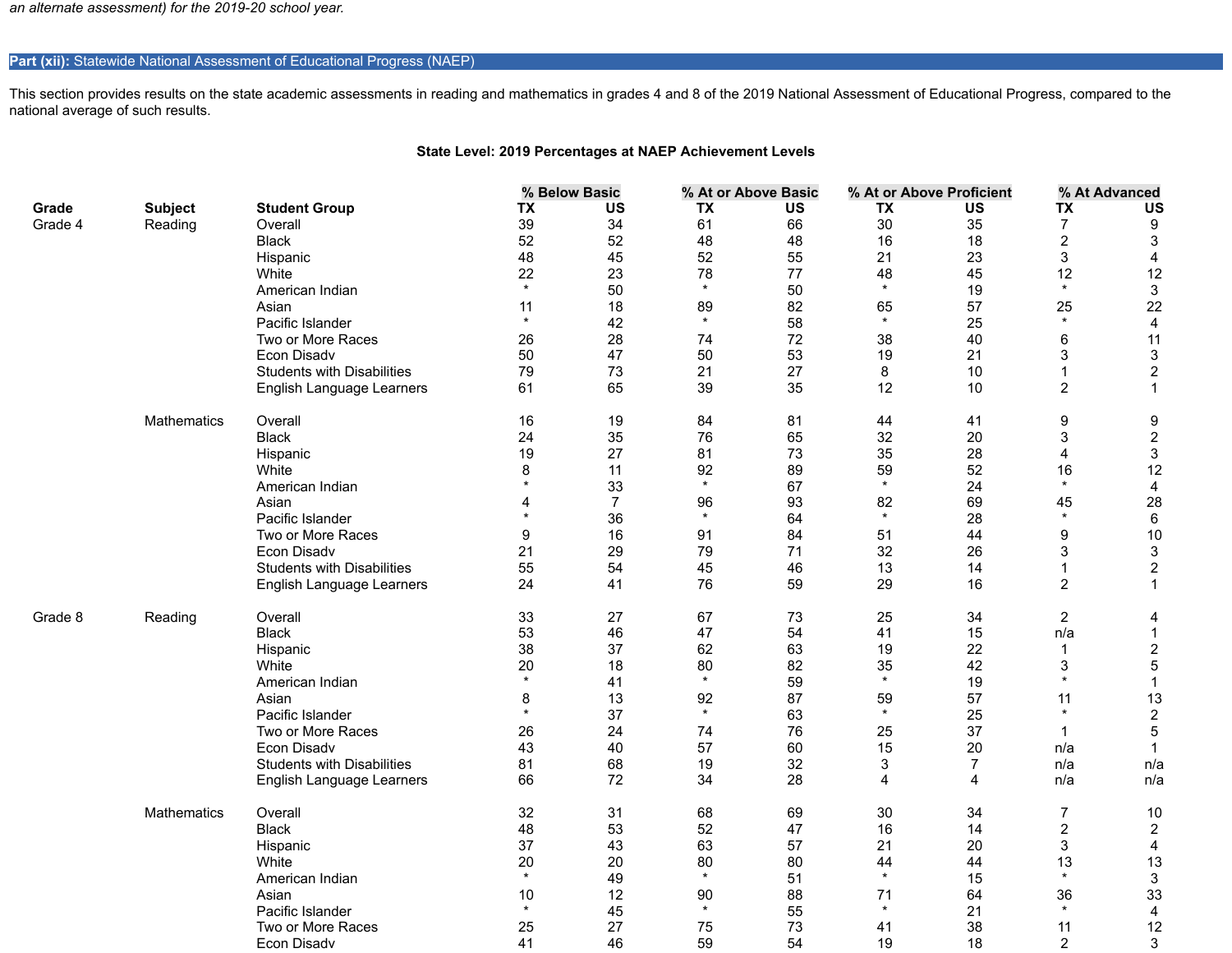*an alternate assessment) for the 2019-20 school year.*

# Part (xii): Statewide National Assessment of Educational Progress (NAEP)

This section provides results on the state academic assessments in reading and mathematics in grades 4 and 8 of the 2019 National Assessment of Educational Progress, compared to the national average of such results.

# **State Level: 2019 Percentages at NAEP Achievement Levels**

|         |                    |                                   |           | % Below Basic  |           | % At or Above Basic |           | % At or Above Proficient |                  | % At Advanced           |
|---------|--------------------|-----------------------------------|-----------|----------------|-----------|---------------------|-----------|--------------------------|------------------|-------------------------|
| Grade   | <b>Subject</b>     | <b>Student Group</b>              | <b>TX</b> | <b>US</b>      | <b>TX</b> | <b>US</b>           | <b>TX</b> | <b>US</b>                | <b>TX</b>        | <b>US</b>               |
| Grade 4 | Reading            | Overall                           | 39        | 34             | 61        | 66                  | 30        | 35                       | 7                | 9                       |
|         |                    | <b>Black</b>                      | 52        | 52             | 48        | 48                  | 16        | 18                       | $\boldsymbol{2}$ | 3                       |
|         |                    | Hispanic                          | 48        | 45             | 52        | 55                  | 21        | 23                       | 3                | $\overline{4}$          |
|         |                    | White                             | 22        | 23             | 78        | 77                  | 48        | 45                       | 12               | 12                      |
|         |                    | American Indian                   | $\star$   | 50             | $\star$   | 50                  | $\star$   | 19                       | $\star$          | $\mathbf{3}$            |
|         |                    | Asian                             | 11        | 18             | 89        | 82                  | 65        | 57                       | 25               | 22                      |
|         |                    | Pacific Islander                  | $\star$   | 42             | $\star$   | 58                  | $\star$   | 25                       | $\star$          | $\overline{\mathbf{4}}$ |
|         |                    | Two or More Races                 | 26        | 28             | 74        | 72                  | 38        | 40                       | 6                | 11                      |
|         |                    | Econ Disadv                       | 50        | 47             | 50        | 53                  | 19        | 21                       | 3                | $\mathfrak{S}$          |
|         |                    | <b>Students with Disabilities</b> | 79        | 73             | 21        | 27                  | 8         | 10                       | 1                | $\overline{c}$          |
|         |                    | English Language Learners         | 61        | 65             | 39        | 35                  | 12        | 10                       | $\overline{c}$   | $\mathbf{1}$            |
|         |                    |                                   |           |                |           |                     |           |                          |                  |                         |
|         | <b>Mathematics</b> | Overall                           | 16        | 19             | 84        | 81                  | 44        | 41                       | 9                | 9                       |
|         |                    | <b>Black</b>                      | 24        | 35             | 76        | 65                  | 32        | 20                       | 3                | $\overline{2}$          |
|         |                    | Hispanic                          | 19        | 27             | 81        | 73                  | 35        | 28                       | 4                | $\mathbf{3}$            |
|         |                    | White                             | 8         | 11             | 92        | 89                  | 59        | 52                       | 16               | 12                      |
|         |                    | American Indian                   | $\star$   | 33             | $\star$   | 67                  | $\star$   | 24                       | $\star$          | 4                       |
|         |                    | Asian                             | 4         | $\overline{7}$ | 96        | 93                  | 82        | 69                       | 45               | 28                      |
|         |                    | Pacific Islander                  | $\star$   | 36             | $\star$   | 64                  | $\star$   | 28                       | $\star$          | 6                       |
|         |                    | Two or More Races                 | 9         | 16             | 91        | 84                  | 51        | 44                       | 9                | 10                      |
|         |                    | Econ Disadv                       | 21        | 29             | 79        | 71                  | 32        | 26                       | 3                | $\mathsf 3$             |
|         |                    | <b>Students with Disabilities</b> | 55        | 54             | 45        | 46                  | 13        | 14                       | $\mathbf{1}$     | $\overline{c}$          |
|         |                    | English Language Learners         | 24        | 41             | 76        | 59                  | 29        | 16                       | $\overline{2}$   | $\mathbf{1}$            |
| Grade 8 | Reading            | Overall                           | 33        | 27             | 67        | 73                  | 25        | 34                       | $\overline{c}$   | 4                       |
|         |                    | <b>Black</b>                      | 53        | 46             | 47        | 54                  | 41        | 15                       | n/a              | $\mathbf{1}$            |
|         |                    | Hispanic                          | 38        | 37             | 62        | 63                  | 19        | 22                       | $\mathbf 1$      | $\overline{c}$          |
|         |                    | White                             | 20        | 18             | 80        | 82                  | 35        | 42                       | 3                | 5                       |
|         |                    | American Indian                   | $\star$   | 41             | $\star$   | 59                  | $\star$   | 19                       | $\star$          | $\mathbf{1}$            |
|         |                    | Asian                             | 8         | 13             | 92        | 87                  | 59        | 57                       | 11               | 13                      |
|         |                    | Pacific Islander                  | $\star$   | 37             | $\star$   | 63                  | $\star$   | 25                       | $\star$          | $\overline{c}$          |
|         |                    | Two or More Races                 | 26        | 24             | 74        | 76                  | 25        | 37                       | -1               | $\mathbf 5$             |
|         |                    | Econ Disadv                       | 43        | 40             | 57        | 60                  | 15        | 20                       | n/a              | $\mathbf{1}$            |
|         |                    | <b>Students with Disabilities</b> | 81        | 68             | 19        | 32                  | 3         | $\overline{7}$           | n/a              | n/a                     |
|         |                    | English Language Learners         | 66        | 72             | 34        | 28                  | 4         | 4                        | n/a              | n/a                     |
|         |                    |                                   |           |                |           |                     |           |                          |                  |                         |
|         | <b>Mathematics</b> | Overall                           | 32        | 31             | 68        | 69                  | 30        | 34                       | $\overline{7}$   | 10                      |
|         |                    | <b>Black</b>                      | 48        | 53             | 52        | 47                  | 16        | 14                       | $\overline{c}$   | $\overline{2}$          |
|         |                    | Hispanic                          | 37        | 43             | 63        | 57                  | 21        | 20                       | 3                | 4                       |
|         |                    | White                             | 20        | 20             | 80        | 80                  | 44        | 44                       | 13<br>$\star$    | 13                      |
|         |                    | American Indian                   | $\star$   | 49             | $\star$   | 51                  | $\star$   | 15                       |                  | $\mathbf{3}$            |
|         |                    | Asian                             | 10        | 12             | 90        | 88                  | 71        | 64                       | 36               | 33                      |
|         |                    | Pacific Islander                  | $\star$   | 45             | $\star$   | 55                  | $\star$   | 21                       | $\star$          | $\overline{\mathbf{4}}$ |
|         |                    | Two or More Races                 | 25        | 27             | 75        | 73                  | 41        | 38                       | 11               | 12                      |
|         |                    | Econ Disadv                       | 41        | 46             | 59        | 54                  | 19        | 18                       | $\overline{2}$   | 3                       |